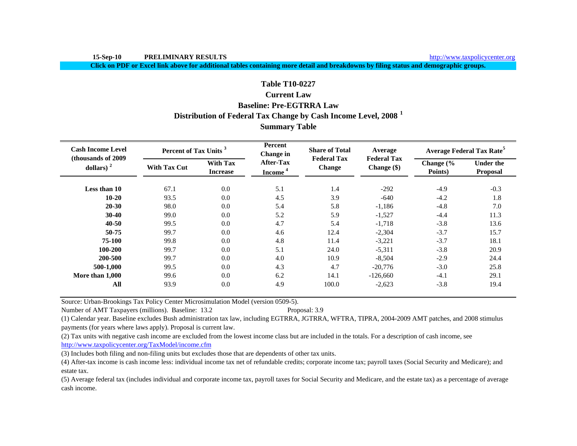**15-Sep-10 PRELIMINARY RESULTS** http://www.taxpolicycenter.org

**Click on PDF or Excel link above for additional tables containing more detail and breakdowns by filing status and demographic groups.**

# **Table T10-0227**

# **Current Law**

## **Baseline: Pre-EGTRRA Law**

## **Distribution of Federal Tax Change by Cash Income Level, 2008 <sup>1</sup>**

## **Summary Table**

| <b>Cash Income Level</b><br>(thousands of 2009) | Percent of Tax Units <sup>3</sup> |                                    | Percent<br>Change in                    | <b>Share of Total</b><br><b>Federal Tax</b> | Average                             |                                 | <b>Average Federal Tax Rate<sup>5</sup></b> |  |
|-------------------------------------------------|-----------------------------------|------------------------------------|-----------------------------------------|---------------------------------------------|-------------------------------------|---------------------------------|---------------------------------------------|--|
| dollars) $2$                                    | <b>With Tax Cut</b>               | <b>With Tax</b><br><b>Increase</b> | <b>After-Tax</b><br>Income <sup>4</sup> | <b>Change</b>                               | <b>Federal Tax</b><br>Change $(\$)$ | Change $\frac{6}{6}$<br>Points) | <b>Under the</b><br>Proposal                |  |
| Less than 10                                    | 67.1                              | 0.0                                | 5.1                                     | 1.4                                         | $-292$                              | $-4.9$                          | $-0.3$                                      |  |
| $10 - 20$                                       | 93.5                              | 0.0                                | 4.5                                     | 3.9                                         | $-640$                              | $-4.2$                          | 1.8                                         |  |
| $20 - 30$                                       | 98.0                              | 0.0                                | 5.4                                     | 5.8                                         | $-1,186$                            | $-4.8$                          | 7.0                                         |  |
| $30 - 40$                                       | 99.0                              | 0.0                                | 5.2                                     | 5.9                                         | $-1,527$                            | $-4.4$                          | 11.3                                        |  |
| 40-50                                           | 99.5                              | 0.0                                | 4.7                                     | 5.4                                         | $-1,718$                            | $-3.8$                          | 13.6                                        |  |
| 50-75                                           | 99.7                              | 0.0                                | 4.6                                     | 12.4                                        | $-2,304$                            | $-3.7$                          | 15.7                                        |  |
| 75-100                                          | 99.8                              | 0.0                                | 4.8                                     | 11.4                                        | $-3,221$                            | $-3.7$                          | 18.1                                        |  |
| 100-200                                         | 99.7                              | 0.0                                | 5.1                                     | 24.0                                        | $-5,311$                            | $-3.8$                          | 20.9                                        |  |
| 200-500                                         | 99.7                              | 0.0                                | 4.0                                     | 10.9                                        | $-8,504$                            | $-2.9$                          | 24.4                                        |  |
| 500-1,000                                       | 99.5                              | 0.0                                | 4.3                                     | 4.7                                         | $-20,776$                           | $-3.0$                          | 25.8                                        |  |
| More than 1,000                                 | 99.6                              | 0.0                                | 6.2                                     | 14.1                                        | $-126,660$                          | $-4.1$                          | 29.1                                        |  |
| All                                             | 93.9                              | 0.0                                | 4.9                                     | 100.0                                       | $-2,623$                            | $-3.8$                          | 19.4                                        |  |

Source: Urban-Brookings Tax Policy Center Microsimulation Model (version 0509-5).

Number of AMT Taxpayers (millions). Baseline: 13.2 Proposal: 3.9

(1) Calendar year. Baseline excludes Bush administration tax law, including EGTRRA, JGTRRA, WFTRA, TIPRA, 2004-2009 AMT patches, and 2008 stimulus payments (for years where laws apply). Proposal is current law.

(2) Tax units with negative cash income are excluded from the lowest income class but are included in the totals. For a description of cash income, see

http://www.taxpolicycenter.org/TaxModel/income.cfm

(3) Includes both filing and non-filing units but excludes those that are dependents of other tax units.

(4) After-tax income is cash income less: individual income tax net of refundable credits; corporate income tax; payroll taxes (Social Security and Medicare); and estate tax.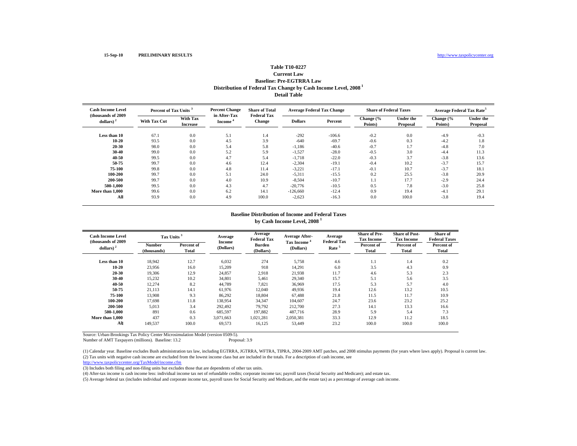#### **Table T10-0227**

### **Distribution of Federal Tax Change by Cash Income Level, 2008 1 Detail Table Current LawBaseline: Pre-EGTRRA Law**

| <b>Cash Income Level</b><br>(thousands of 2009) |                     | Percent of Tax Units <sup>3</sup> |                                     | <b>Share of Total</b><br><b>Federal Tax</b> | <b>Average Federal Tax Change</b> |          | <b>Share of Federal Taxes</b> |                       | Average Federal Tax Rate <sup>5</sup> |                              |
|-------------------------------------------------|---------------------|-----------------------------------|-------------------------------------|---------------------------------------------|-----------------------------------|----------|-------------------------------|-----------------------|---------------------------------------|------------------------------|
| dollars) $2$                                    | <b>With Tax Cut</b> | With Tax<br><b>Increase</b>       | in After-Tax<br>Income <sup>®</sup> | Change                                      | <b>Dollars</b>                    | Percent  | Change (%<br>Points)          | Under the<br>Proposal | Change (%<br>Points)                  | <b>Under the</b><br>Proposal |
| Less than 10                                    | 67.1                | 0.0                               | 5.1                                 | 1.4                                         | $-292$                            | $-106.6$ | $-0.2$                        | 0.0                   | $-4.9$                                | $-0.3$                       |
| $10 - 20$                                       | 93.5                | 0.0                               | 4.5                                 | 3.9                                         | $-640$                            | $-69.7$  | $-0.6$                        | 0.3                   | $-4.2$                                | 1.8                          |
| 20-30                                           | 98.0                | 0.0                               | 5.4                                 | 5.8                                         | $-1,186$                          | $-40.6$  | $-0.7$                        | 1.7                   | $-4.8$                                | 7.0                          |
| 30-40                                           | 99.0                | 0.0                               | 5.2                                 | 5.9                                         | $-1,527$                          | $-28.0$  | $-0.5$                        | 3.0                   | $-4.4$                                | 11.3                         |
| 40-50                                           | 99.5                | 0.0                               | 4.7                                 | 5.4                                         | $-1,718$                          | $-22.0$  | $-0.3$                        | 3.7                   | $-3.8$                                | 13.6                         |
| 50-75                                           | 99.7                | 0.0                               | 4.6                                 | 12.4                                        | $-2,304$                          | $-19.1$  | $-0.4$                        | 10.2                  | $-3.7$                                | 15.7                         |
| 75-100                                          | 99.8                | 0.0                               | 4.8                                 | 11.4                                        | $-3,221$                          | $-17.1$  | $-0.1$                        | 10.7                  | $-3.7$                                | 18.1                         |
| 100-200                                         | 99.7                | 0.0                               | 5.1                                 | 24.0                                        | $-5,311$                          | $-15.5$  | 0.2                           | 25.5                  | $-3.8$                                | 20.9                         |
| 200-500                                         | 99.7                | 0.0                               | 4.0                                 | 10.9                                        | $-8,504$                          | $-10.7$  | 1.1                           | 17.7                  | $-2.9$                                | 24.4                         |
| 500-1.000                                       | 99.5                | 0.0                               | 4.3                                 | 4.7                                         | $-20,776$                         | $-10.5$  | 0.5                           | 7.8                   | $-3.0$                                | 25.8                         |
| More than 1.000                                 | 99.6                | 0.0                               | 6.2                                 | 14.1                                        | $-126,660$                        | $-12.4$  | 0.9                           | 19.4                  | $-4.1$                                | 29.1                         |
| All                                             | 93.9                | 0.0                               | 4.9                                 | 100.0                                       | $-2,623$                          | $-16.3$  | 0.0                           | 100.0                 | $-3.8$                                | 19.4                         |

#### **Baseline Distribution of Income and Federal Taxes by Cash Income Level, 2008 <sup>1</sup>**

| <b>Cash Income Level</b><br>(thousands of 2009) | Tax Units <sup>3</sup>       |                     | Average                    | Average<br><b>Federal Tax</b> | <b>Average After-</b>   | Average<br><b>Federal Tax</b> | <b>Share of Pre-</b><br><b>Tax Income</b> | <b>Share of Post-</b><br><b>Tax Income</b> | Share of<br><b>Federal Taxes</b> |
|-------------------------------------------------|------------------------------|---------------------|----------------------------|-------------------------------|-------------------------|-------------------------------|-------------------------------------------|--------------------------------------------|----------------------------------|
| dollars) $2$                                    | <b>Number</b><br>(thousands) | Percent of<br>Total | <b>Income</b><br>(Dollars) | <b>Burden</b><br>(Dollars)    | Tax Income<br>(Dollars) | Rate <sup>5</sup>             | Percent of<br>Total                       | Percent of<br>Total                        | Percent of<br>Total              |
| Less than 10                                    | 18,942                       | 12.7                | 6,032                      | 274                           | 5,758                   | 4.6                           | 1.1                                       | 1.4                                        | 0.2                              |
| $10 - 20$                                       | 23,956                       | 16.0                | 15,209                     | 918                           | 14,291                  | 6.0                           | 3.5                                       | 4.3                                        | 0.9                              |
| 20-30                                           | 19,306                       | 12.9                | 24,857                     | 2,918                         | 21,938                  | 11.7                          | 4.6                                       | 5.3                                        | 2.3                              |
| 30-40                                           | 15,232                       | 10.2                | 34,801                     | 5,461                         | 29,340                  | 15.7                          | 5.1                                       | 5.6                                        | 3.5                              |
| 40-50                                           | 12,274                       | 8.2                 | 44,789                     | 7,821                         | 36,969                  | 17.5                          | 5.3                                       | 5.7                                        | 4.0                              |
| 50-75                                           | 21,113                       | 14.1                | 61,976                     | 12,040                        | 49,936                  | 19.4                          | 12.6                                      | 13.2                                       | 10.5                             |
| 75-100                                          | 13,908                       | 9.3                 | 86,292                     | 18,804                        | 67,488                  | 21.8                          | 11.5                                      | 11.7                                       | 10.9                             |
| 100-200                                         | 17.698                       | 11.8                | 138,954                    | 34,347                        | 104,607                 | 24.7                          | 23.6                                      | 23.2                                       | 25.2                             |
| 200-500                                         | 5.013                        | 3.4                 | 292.492                    | 79.792                        | 212,700                 | 27.3                          | 14.1                                      | 13.3                                       | 16.6                             |
| 500-1.000                                       | 891                          | 0.6                 | 685,597                    | 197.882                       | 487.716                 | 28.9                          | 5.9                                       | 5.4                                        | 7.3                              |
| More than 1,000                                 | 437                          | 0.3                 | 3,071,663                  | 1,021,281                     | 2,050,381               | 33.3                          | 12.9                                      | 11.2                                       | 18.5                             |
| All                                             | 149,537                      | 100.0               | 69,573                     | 16,125                        | 53,449                  | 23.2                          | 100.0                                     | 100.0                                      | 100.0                            |

Source: Urban-Brookings Tax Policy Center Microsimulation Model (version 0509-5).

Number of AMT Taxpayers (millions). Baseline: 13.2

(2) Tax units with negative cash income are excluded from the lowest income class but are included in the totals. For a description of cash income, see (1) Calendar year. Baseline excludes Bush administration tax law, including EGTRRA, JGTRRA, WFTRA, TIPRA, 2004-2009 AMT patches, and 2008 stimulus payments (for years where laws apply). Proposal is current law.

http://www.taxpolicycenter.org/TaxModel/income.cfm

(3) Includes both filing and non-filing units but excludes those that are dependents of other tax units.

(4) After-tax income is cash income less: individual income tax net of refundable credits; corporate income tax; payroll taxes (Social Security and Medicare); and estate tax.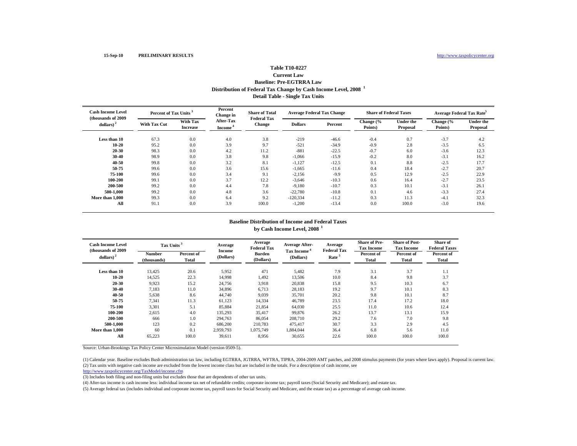#### **Distribution of Federal Tax Change by Cash Income Level, 2008 <sup>1</sup> Detail Table - Single Tax Units Table T10-0227 Current Law Baseline: Pre-EGTRRA Law**

| <b>Cash Income Level</b><br>(thousands of 2009) | Percent of Tax Units <sup>3</sup> |                             | Percent<br>Change in             | <b>Share of Total</b><br><b>Federal Tax</b> | <b>Average Federal Tax Change</b> |         | <b>Share of Federal Taxes</b> |                       | Average Federal Tax Rate <sup>5</sup> |                              |
|-------------------------------------------------|-----------------------------------|-----------------------------|----------------------------------|---------------------------------------------|-----------------------------------|---------|-------------------------------|-----------------------|---------------------------------------|------------------------------|
| $\boldsymbol{\mathrm{dollars}}$ ) <sup>2</sup>  | <b>With Tax Cut</b>               | With Tax<br><b>Increase</b> | After-Tax<br>Income <sup>®</sup> | <b>Change</b>                               | <b>Dollars</b>                    | Percent | Change (%<br>Points)          | Under the<br>Proposal | Change (%<br>Points)                  | <b>Under the</b><br>Proposal |
| Less than 10                                    | 67.3                              | 0.0                         | 4.0                              | 3.8                                         | $-219$                            | $-46.6$ | $-0.4$                        | 0.7                   | $-3.7$                                | 4.2                          |
| 10-20                                           | 95.2                              | 0.0                         | 3.9                              | 9.7                                         | $-521$                            | $-34.9$ | $-0.9$                        | 2.8                   | $-3.5$                                | 6.5                          |
| 20-30                                           | 98.3                              | 0.0                         | 4.2                              | 11.2                                        | $-881$                            | $-22.5$ | $-0.7$                        | 6.0                   | $-3.6$                                | 12.3                         |
| 30-40                                           | 98.9                              | 0.0                         | 3.8                              | 9.8                                         | $-1,066$                          | $-15.9$ | $-0.2$                        | 8.0                   | $-3.1$                                | 16.2                         |
| 40-50                                           | 99.8                              | 0.0                         | 3.2                              | 8.1                                         | $-1,127$                          | $-12.5$ | 0.1                           | 8.8                   | $-2.5$                                | 17.7                         |
| 50-75                                           | 99.6                              | 0.0                         | 3.6                              | 15.6                                        | $-1,665$                          | $-11.6$ | 0.4                           | 18.4                  | $-2.7$                                | 20.7                         |
| 75-100                                          | 99.6                              | 0.0                         | 3.4                              | 9.1                                         | $-2,156$                          | $-9.9$  | 0.5                           | 12.9                  | $-2.5$                                | 22.9                         |
| 100-200                                         | 99.1                              | 0.0                         | 3.7                              | 12.2                                        | $-3,646$                          | $-10.3$ | 0.6                           | 16.4                  | $-2.7$                                | 23.5                         |
| 200-500                                         | 99.2                              | 0.0                         | 4.4                              | 7.8                                         | $-9,180$                          | $-10.7$ | 0.3                           | 10.1                  | $-3.1$                                | 26.1                         |
| 500-1.000                                       | 99.2                              | 0.0                         | 4.8                              | 3.6                                         | $-22,780$                         | $-10.8$ | 0.1                           | 4.6                   | $-3.3$                                | 27.4                         |
| More than 1.000                                 | 99.3                              | 0.0                         | 6.4                              | 9.2                                         | $-120,334$                        | $-11.2$ | 0.3                           | 11.3                  | $-4.1$                                | 32.3                         |
| All                                             | 91.1                              | 0.0                         | 3.9                              | 100.0                                       | $-1,200$                          | $-13.4$ | 0.0                           | 100.0                 | $-3.0$                                | 19.6                         |

#### **Baseline Distribution of Income and Federal Taxes by Cash Income Level, 2008 <sup>1</sup>**

| <b>Cash Income Level</b><br>(thousands of 2009) |                              | Tax Units <sup>3</sup>     |                            | Average<br><b>Federal Tax</b> | <b>Average After-</b>                | Average<br><b>Federal Tax</b> | <b>Share of Pre-</b><br><b>Tax Income</b> | <b>Share of Post-</b><br><b>Tax Income</b> | <b>Share of</b><br><b>Federal Taxes</b> |
|-------------------------------------------------|------------------------------|----------------------------|----------------------------|-------------------------------|--------------------------------------|-------------------------------|-------------------------------------------|--------------------------------------------|-----------------------------------------|
| dollars) $2$                                    | <b>Number</b><br>(thousands) | Percent of<br><b>Total</b> | <b>Income</b><br>(Dollars) | <b>Burden</b><br>(Dollars)    | Tax Income <sup>4</sup><br>(Dollars) | Rate <sup>5</sup>             | Percent of<br>Total                       | Percent of<br>Total                        | Percent of<br>Total                     |
| Less than 10                                    | 13,425                       | 20.6                       | 5,952                      | 471                           | 5,482                                | 7.9                           | 3.1                                       | 3.7                                        | 1.1                                     |
| 10-20                                           | 14,525                       | 22.3                       | 14.998                     | 1,492                         | 13,506                               | 10.0                          | 8.4                                       | 9.8                                        | 3.7                                     |
| $20 - 30$                                       | 9,923                        | 15.2                       | 24,756                     | 3,918                         | 20,838                               | 15.8                          | 9.5                                       | 10.3                                       | 6.7                                     |
| $30 - 40$                                       | 7,183                        | 11.0                       | 34,896                     | 6,713                         | 28,183                               | 19.2                          | 9.7                                       | 10.1                                       | 8.3                                     |
| 40-50                                           | 5,638                        | 8.6                        | 44,740                     | 9,039                         | 35,701                               | 20.2                          | 9.8                                       | 10.1                                       | 8.7                                     |
| 50-75                                           | 7,341                        | 11.3                       | 61,123                     | 14,334                        | 46,789                               | 23.5                          | 17.4                                      | 17.2                                       | 18.0                                    |
| 75-100                                          | 3,301                        | 5.1                        | 85,884                     | 21,854                        | 64,030                               | 25.5                          | 11.0                                      | 10.6                                       | 12.4                                    |
| 100-200                                         | 2,615                        | 4.0                        | 135,293                    | 35.417                        | 99,876                               | 26.2                          | 13.7                                      | 13.1                                       | 15.9                                    |
| 200-500                                         | 666                          | 1.0                        | 294,763                    | 86,054                        | 208,710                              | 29.2                          | 7.6                                       | 7.0                                        | 9.8                                     |
| 500-1.000                                       | 123                          | 0.2                        | 686,200                    | 210,783                       | 475,417                              | 30.7                          | 3.3                                       | 2.9                                        | 4.5                                     |
| More than 1,000                                 | 60                           | 0.1                        | 2,959,793                  | 1.075.749                     | 1,884,044                            | 36.4                          | 6.8                                       | 5.6                                        | 11.0                                    |
| All                                             | 65,223                       | 100.0                      | 39,611                     | 8,956                         | 30,655                               | 22.6                          | 100.0                                     | 100.0                                      | 100.0                                   |

Source: Urban-Brookings Tax Policy Center Microsimulation Model (version 0509-5).

(2) Tax units with negative cash income are excluded from the lowest income class but are included in the totals. For a description of cash income, see (1) Calendar year. Baseline excludes Bush administration tax law, including EGTRRA, JGTRRA, WFTRA, TIPRA, 2004-2009 AMT patches, and 2008 stimulus payments (for years where laws apply). Proposal is current law.

http://www.taxpolicycenter.org/TaxModel/income.cfm

(3) Includes both filing and non-filing units but excludes those that are dependents of other tax units.

(4) After-tax income is cash income less: individual income tax net of refundable credits; corporate income tax; payroll taxes (Social Security and Medicare); and estate tax.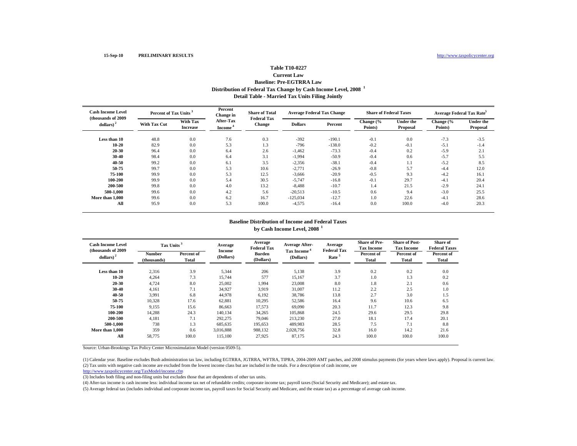#### **Distribution of Federal Tax Change by Cash Income Level, 2008 <sup>1</sup> Detail Table - Married Tax Units Filing Jointly Table T10-0227 Current Law Baseline: Pre-EGTRRA Law**

| <b>Cash Income Level</b><br>(thousands of 2009) |                     | Percent of Tax Units <sup>3</sup>  |                                         | <b>Share of Total</b><br><b>Federal Tax</b> | <b>Average Federal Tax Change</b> |          | <b>Share of Federal Taxes</b> |                              | Average Federal Tax Rate <sup>5</sup> |                              |
|-------------------------------------------------|---------------------|------------------------------------|-----------------------------------------|---------------------------------------------|-----------------------------------|----------|-------------------------------|------------------------------|---------------------------------------|------------------------------|
| dollars) $2$                                    | <b>With Tax Cut</b> | <b>With Tax</b><br><b>Increase</b> | <b>After-Tax</b><br>Income <sup>®</sup> | <b>Change</b>                               | <b>Dollars</b>                    | Percent  | Change (%<br>Points)          | <b>Under the</b><br>Proposal | Change (%<br>Points)                  | <b>Under the</b><br>Proposal |
| Less than 10                                    | 48.8                | 0.0                                | 7.6                                     | 0.3                                         | $-392$                            | $-190.1$ | $-0.1$                        | 0.0                          | $-7.3$                                | $-3.5$                       |
| $10 - 20$                                       | 82.9                | 0.0                                | 5.3                                     | 1.3                                         | $-796$                            | $-138.0$ | $-0.2$                        | $-0.1$                       | $-5.1$                                | $-1.4$                       |
| $20 - 30$                                       | 96.4                | 0.0                                | 6.4                                     | 2.6                                         | $-1,462$                          | $-73.3$  | $-0.4$                        | 0.2                          | $-5.9$                                | 2.1                          |
| $30 - 40$                                       | 98.4                | 0.0                                | 6.4                                     | 3.1                                         | $-1,994$                          | $-50.9$  | $-0.4$                        | 0.6                          | $-5.7$                                | 5.5                          |
| $40 - 50$                                       | 99.2                | 0.0                                | 6.1                                     | 3.5                                         | $-2,356$                          | $-38.1$  | $-0.4$                        | 1.1                          | $-5.2$                                | 8.5                          |
| 50-75                                           | 99.7                | 0.0                                | 5.3                                     | 10.6                                        | $-2,771$                          | $-26.9$  | $-0.8$                        | 5.7                          | $-4.4$                                | 12.0                         |
| 75-100                                          | 99.9                | 0.0                                | 5.3                                     | 12.5                                        | $-3,666$                          | $-20.9$  | $-0.5$                        | 9.3                          | $-4.2$                                | 16.1                         |
| 100-200                                         | 99.9                | 0.0                                | 5.4                                     | 30.5                                        | $-5,747$                          | $-16.8$  | $-0.1$                        | 29.7                         | $-4.1$                                | 20.4                         |
| 200-500                                         | 99.8                | 0.0                                | 4.0                                     | 13.2                                        | $-8,488$                          | $-10.7$  | 1.4                           | 21.5                         | $-2.9$                                | 24.1                         |
| 500-1.000                                       | 99.6                | 0.0                                | 4.2                                     | 5.6                                         | $-20,513$                         | $-10.5$  | 0.6                           | 9.4                          | $-3.0$                                | 25.5                         |
| More than 1,000                                 | 99.6                | 0.0                                | 6.2                                     | 16.7                                        | $-125,034$                        | $-12.7$  | 1.0                           | 22.6                         | $-4.1$                                | 28.6                         |
| All                                             | 95.9                | 0.0                                | 5.3                                     | 100.0                                       | $-4,575$                          | $-16.4$  | 0.0                           | 100.0                        | $-4.0$                                | 20.3                         |

#### **Baseline Distribution of Income and Federal Taxes by Cash Income Level, 2008 <sup>1</sup>**

| <b>Cash Income Level</b><br>(thousands of 2009) | Tax Units <sup>3</sup>       |                     | Average              | Average<br><b>Federal Tax</b> | <b>Average After-</b>                | Average<br><b>Federal Tax</b> | <b>Share of Pre-</b><br><b>Tax Income</b> | <b>Share of Post-</b><br><b>Tax Income</b> | Share of<br><b>Federal Taxes</b> |
|-------------------------------------------------|------------------------------|---------------------|----------------------|-------------------------------|--------------------------------------|-------------------------------|-------------------------------------------|--------------------------------------------|----------------------------------|
| dollars) $2$                                    | <b>Number</b><br>(thousands) | Percent of<br>Total | Income<br>(Dollars)  | <b>Burden</b><br>(Dollars)    | Tax Income <sup>*</sup><br>(Dollars) | Rate <sup>5</sup>             | Percent of<br>Total                       | Percent of<br>Total                        | Percent of<br>Total              |
| Less than 10                                    | 2,316                        | 3.9                 | 5,344                | 206                           | 5,138                                | 3.9                           | 0.2                                       | 0.2                                        | 0.0                              |
| 10-20<br>$20 - 30$                              | 4,264<br>4,724               | 7.3<br>8.0          | 15,744<br>25,002     | 577<br>1,994                  | 15,167<br>23,008                     | 3.7<br>8.0                    | 1.0<br>1.8                                | 1.3<br>2.1                                 | 0.2<br>0.6                       |
| $30 - 40$                                       | 4,161                        | 7.1                 | 34,927               | 3,919                         | 31,007                               | 11.2                          | 2.2                                       | 2.5                                        | 1.0                              |
| 40-50<br>50-75                                  | 3,991<br>10,328              | 6.8<br>17.6         | 44,978<br>62,881     | 6,192<br>10,295               | 38,786<br>52,586                     | 13.8<br>16.4                  | 2.7<br>9.6                                | 3.0<br>10.6                                | 1.5<br>6.5                       |
| 75-100                                          | 9.155                        | 15.6                | 86,663               | 17.573                        | 69,090                               | 20.3                          | 11.7                                      | 12.3                                       | 9.8                              |
| 100-200<br>200-500                              | 14,288<br>4,181              | 24.3<br>7.1         | 140.134<br>292,275   | 34,265<br>79,046              | 105,868<br>213,230                   | 24.5<br>27.0                  | 29.6<br>18.1                              | 29.5<br>17.4                               | 29.8<br>20.1                     |
| 500-1.000                                       | 738                          | 1.3                 | 685,635              | 195,653                       | 489,983                              | 28.5                          | 7.5                                       | 7.1                                        | 8.8                              |
| More than 1.000<br>All                          | 359<br>58,775                | 0.6<br>100.0        | 3,016,888<br>115.100 | 988,132<br>27.925             | 2,028,756<br>87.175                  | 32.8<br>24.3                  | 16.0<br>100.0                             | 14.2<br>100.0                              | 21.6<br>100.0                    |

Source: Urban-Brookings Tax Policy Center Microsimulation Model (version 0509-5).

(2) Tax units with negative cash income are excluded from the lowest income class but are included in the totals. For a description of cash income, see (1) Calendar year. Baseline excludes Bush administration tax law, including EGTRRA, JGTRRA, WFTRA, TIPRA, 2004-2009 AMT patches, and 2008 stimulus payments (for years where laws apply). Proposal is current law.

http://www.taxpolicycenter.org/TaxModel/income.cfm

(3) Includes both filing and non-filing units but excludes those that are dependents of other tax units.

(4) After-tax income is cash income less: individual income tax net of refundable credits; corporate income tax; payroll taxes (Social Security and Medicare); and estate tax.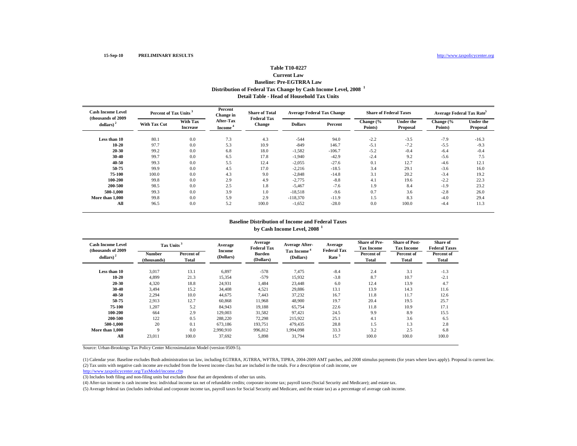#### **Distribution of Federal Tax Change by Cash Income Level, 2008 <sup>1</sup> Detail Table - Head of Household Tax UnitsTable T10-0227 Current Law Baseline: Pre-EGTRRA Law**

| <b>Cash Income Level</b><br>(thousands of 2009) | Percent of Tax Units <sup>3</sup> |                             | Percent<br>Change in                    | <b>Share of Total</b><br><b>Federal Tax</b> |                | <b>Average Federal Tax Change</b> |                      | <b>Share of Federal Taxes</b> | Average Federal Tax Rate <sup>5</sup> |                              |
|-------------------------------------------------|-----------------------------------|-----------------------------|-----------------------------------------|---------------------------------------------|----------------|-----------------------------------|----------------------|-------------------------------|---------------------------------------|------------------------------|
| dollars) $2$                                    | <b>With Tax Cut</b>               | With Tax<br><b>Increase</b> | <b>After-Tax</b><br>Income <sup>®</sup> | <b>Change</b>                               | <b>Dollars</b> | Percent                           | Change (%<br>Points) | <b>Under the</b><br>Proposal  | Change (%<br>Points)                  | <b>Under the</b><br>Proposal |
| Less than 10                                    | 80.1                              | 0.0                         | 7.3                                     | 4.3                                         | $-544$         | 94.0                              | $-2.2$               | $-3.5$                        | $-7.9$                                | $-16.3$                      |
| $10 - 20$                                       | 97.7                              | 0.0                         | 5.3                                     | 10.9                                        | $-849$         | 146.7                             | $-5.1$               | $-7.2$                        | $-5.5$                                | $-9.3$                       |
| $20 - 30$                                       | 99.2                              | 0.0                         | 6.8                                     | 18.0                                        | $-1,582$       | $-106.7$                          | $-5.2$               | $-0.4$                        | $-6.4$                                | $-0.4$                       |
| $30 - 40$                                       | 99.7                              | 0.0                         | 6.5                                     | 17.8                                        | $-1,940$       | $-42.9$                           | $-2.4$               | 9.2                           | $-5.6$                                | 7.5                          |
| $40 - 50$                                       | 99.3                              | 0.0                         | 5.5                                     | 12.4                                        | $-2,055$       | $-27.6$                           | 0.1                  | 12.7                          | $-4.6$                                | 12.1                         |
| 50-75                                           | 99.9                              | 0.0                         | 4.5                                     | 17.0                                        | $-2,216$       | $-18.5$                           | 3.4                  | 29.1                          | $-3.6$                                | 16.0                         |
| 75-100                                          | 100.0                             | 0.0                         | 4.3                                     | 9.0                                         | $-2,848$       | $-14.8$                           | 3.1                  | 20.2                          | $-3.4$                                | 19.2                         |
| 100-200                                         | 99.8                              | 0.0                         | 2.9                                     | 4.9                                         | $-2,775$       | $-8.8$                            | 4.1                  | 19.6                          | $-2.2$                                | 22.3                         |
| 200-500                                         | 98.5                              | 0.0                         | 2.5                                     | 1.8                                         | $-5,467$       | $-7.6$                            | 1.9                  | 8.4                           | $-1.9$                                | 23.2                         |
| 500-1.000                                       | 99.3                              | 0.0                         | 3.9                                     | 1.0                                         | $-18,518$      | $-9.6$                            | 0.7                  | 3.6                           | $-2.8$                                | 26.0                         |
| More than 1,000                                 | 99.8                              | 0.0                         | 5.9                                     | 2.9                                         | $-118,370$     | $-11.9$                           | 1.5                  | 8.3                           | $-4.0$                                | 29.4                         |
| All                                             | 96.5                              | 0.0                         | 5.2                                     | 100.0                                       | $-1,652$       | $-28.0$                           | 0.0                  | 100.0                         | $-4.4$                                | 11.3                         |

#### **Baseline Distribution of Income and Federal Taxes by Cash Income Level, 2008 <sup>1</sup>**

| <b>Cash Income Level</b><br>(thousands of 2009) |                              | Tax Units <sup>3</sup> |                     | Average<br><b>Federal Tax</b> | <b>Average After-</b><br><b>Tax Income</b> | Average<br><b>Federal Tax</b> | <b>Share of Pre-</b><br><b>Tax Income</b> | <b>Share of Post-</b><br><b>Tax Income</b> | <b>Share of</b><br><b>Federal Taxes</b> |
|-------------------------------------------------|------------------------------|------------------------|---------------------|-------------------------------|--------------------------------------------|-------------------------------|-------------------------------------------|--------------------------------------------|-----------------------------------------|
| dollars) $2$                                    | <b>Number</b><br>(thousands) | Percent of<br>Total    | Income<br>(Dollars) | <b>Burden</b><br>(Dollars)    | (Dollars)                                  | Rate <sup>5</sup>             | Percent of<br>Total                       | Percent of<br>Total                        | Percent of<br>Total                     |
| Less than 10                                    | 3,017                        | 13.1                   | 6,897               | $-578$                        | 7,475                                      | $-8.4$                        | 2.4                                       | 3.1                                        | $-1.3$                                  |
| $10 - 20$                                       | 4,899                        | 21.3                   | 15,354              | $-579$                        | 15,932                                     | $-3.8$                        | 8.7                                       | 10.7                                       | $-2.1$                                  |
| $20 - 30$                                       | 4,320                        | 18.8                   | 24,931              | 1,484                         | 23,448                                     | 6.0                           | 12.4                                      | 13.9                                       | 4.7                                     |
| $30 - 40$                                       | 3,494                        | 15.2                   | 34,408              | 4,521                         | 29,886                                     | 13.1                          | 13.9                                      | 14.3                                       | 11.6                                    |
| 40-50                                           | 2,294                        | 10.0                   | 44,675              | 7.443                         | 37,232                                     | 16.7                          | 11.8                                      | 11.7                                       | 12.6                                    |
| 50-75                                           | 2,913                        | 12.7                   | 60,868              | 11.968                        | 48,900                                     | 19.7                          | 20.4                                      | 19.5                                       | 25.7                                    |
| 75-100                                          | 1,207                        | 5.2                    | 84,943              | 19,188                        | 65,754                                     | 22.6                          | 11.8                                      | 10.9                                       | 17.1                                    |
| 100-200                                         | 664                          | 2.9                    | 129,003             | 31,582                        | 97.421                                     | 24.5                          | 9.9                                       | 8.9                                        | 15.5                                    |
| 200-500                                         | 122                          | 0.5                    | 288,220             | 72,298                        | 215,922                                    | 25.1                          | 4.1                                       | 3.6                                        | 6.5                                     |
| 500-1.000                                       | 20                           | 0.1                    | 673,186             | 193,751                       | 479,435                                    | 28.8                          | 1.5                                       | 1.3                                        | 2.8                                     |
| More than 1,000                                 | Q                            | 0.0                    | 2,990,910           | 996.812                       | 1,994,098                                  | 33.3                          | 3.2                                       | 2.5                                        | 6.8                                     |
| All                                             | 23,011                       | 100.0                  | 37,692              | 5,898                         | 31,794                                     | 15.7                          | 100.0                                     | 100.0                                      | 100.0                                   |

Source: Urban-Brookings Tax Policy Center Microsimulation Model (version 0509-5).

(2) Tax units with negative cash income are excluded from the lowest income class but are included in the totals. For a description of cash income, see (1) Calendar year. Baseline excludes Bush administration tax law, including EGTRRA, JGTRRA, WFTRA, TIPRA, 2004-2009 AMT patches, and 2008 stimulus payments (for years where laws apply). Proposal is current law.

http://www.taxpolicycenter.org/TaxModel/income.cfm

(3) Includes both filing and non-filing units but excludes those that are dependents of other tax units.

(4) After-tax income is cash income less: individual income tax net of refundable credits; corporate income tax; payroll taxes (Social Security and Medicare); and estate tax.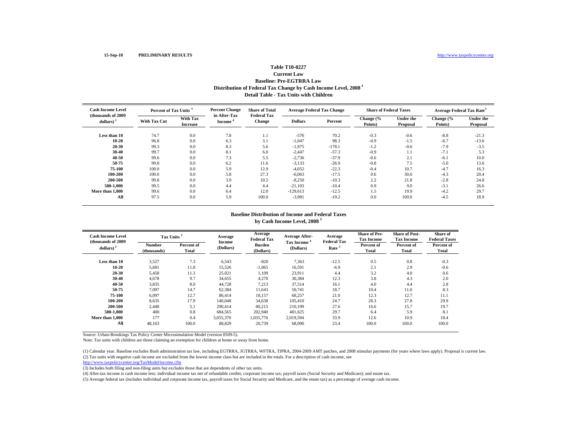### **Table T10-0227**

### **Distribution of Federal Tax Change by Cash Income Level, 2008 1 Detail Table - Tax Units with Children Current LawBaseline: Pre-EGTRRA Law**

| <b>Cash Income Level</b><br>(thousands of 2009) |                     | Percent of Tax Units <sup>3</sup> |                        | <b>Share of Total</b><br><b>Federal Tax</b> | <b>Average Federal Tax Change</b> |          | <b>Share of Federal Taxes</b> |                              | Average Federal Tax Rate <sup>5</sup> |                              |
|-------------------------------------------------|---------------------|-----------------------------------|------------------------|---------------------------------------------|-----------------------------------|----------|-------------------------------|------------------------------|---------------------------------------|------------------------------|
| dollars) <sup>2</sup>                           | <b>With Tax Cut</b> | With Tax<br><b>Increase</b>       | in After-Tax<br>Income | <b>Change</b>                               | <b>Dollars</b>                    | Percent  | Change (%<br>Points)          | <b>Under the</b><br>Proposal | Change (%<br>Points)                  | <b>Under the</b><br>Proposal |
| Less than 10                                    | 74.7                | 0.0                               | 7.8                    | 1.1                                         | $-576$                            | 70.2     | $-0.3$                        | $-0.6$                       | $-8.8$                                | $-21.3$                      |
| 10-20                                           | 96.8                | 0.0                               | 6.3                    | 3.1                                         | $-1,047$                          | 98.3     | $-0.9$                        | $-1.5$                       | $-6.7$                                | $-13.6$                      |
| 20-30                                           | 99.3                | 0.0                               | 8.3                    | 5.6                                         | $-1,975$                          | $-178.1$ | $-1.2$                        | $-0.6$                       | $-7.9$                                | $-3.5$                       |
| 30-40                                           | 99.7                | 0.0                               | 8.1                    | 6.0                                         | $-2,447$                          | $-57.3$  | $-0.9$                        | 1.1                          | $-7.1$                                | 5.3                          |
| 40-50                                           | 99.6                | 0.0                               | 7.3                    | 5.5                                         | $-2,736$                          | $-37.9$  | $-0.6$                        | 2.1                          | $-6.1$                                | 10.0                         |
| 50-75                                           | 99.8                | 0.0                               | 6.2                    | 11.6                                        | $-3,133$                          | $-26.9$  | $-0.8$                        | 7.5                          | $-5.0$                                | 13.6                         |
| 75-100                                          | 100.0               | 0.0                               | 5.9                    | 12.9                                        | $-4,052$                          | $-22.3$  | $-0.4$                        | 10.7                         | $-4.7$                                | 16.3                         |
| 100-200                                         | 100.0               | 0.0                               | 5.8                    | 27.3                                        | $-6,063$                          | $-17.5$  | 0.6                           | 30.6                         | $-4.3$                                | 20.4                         |
| 200-500                                         | 99.8                | 0.0                               | 3.9                    | 10.5                                        | $-8,250$                          | $-10.3$  | 2.2                           | 21.8                         | $-2.8$                                | 24.8                         |
| 500-1.000                                       | 99.5                | 0.0                               | 4.4                    | 4.4                                         | $-21.103$                         | $-10.4$  | 0.9                           | 9.0                          | $-3.1$                                | 26.6                         |
| More than 1.000                                 | 99.6                | 0.0                               | 6.4                    | 12.0                                        | $-129,613$                        | $-12.5$  | 1.5                           | 19.9                         | $-4.2$                                | 29.7                         |
| All                                             | 97.5                | 0.0                               | 5.9                    | 100.0                                       | $-3,981$                          | $-19.2$  | 0.0                           | 100.0                        | $-4.5$                                | 18.9                         |

#### **Baseline Distribution of Income and Federal Taxes by Cash Income Level, 2008 <sup>1</sup>**

| <b>Cash Income Level</b><br>(thousands of 2009) | Tax Units <sup>3</sup>       |                     | Average<br><b>Income</b> | Average<br><b>Federal Tax</b> | <b>Average After-</b>   | Average<br><b>Federal Tax</b> | <b>Share of Pre-</b><br><b>Tax Income</b> | <b>Share of Post-</b><br><b>Tax Income</b> | Share of<br><b>Federal Taxes</b> |
|-------------------------------------------------|------------------------------|---------------------|--------------------------|-------------------------------|-------------------------|-------------------------------|-------------------------------------------|--------------------------------------------|----------------------------------|
| dollars) $2$                                    | <b>Number</b><br>(thousands) | Percent of<br>Total | (Dollars)                | Burden<br>(Dollars)           | Tax Income<br>(Dollars) | Rate <sup>5</sup>             | Percent of<br>Total                       | Percent of<br>Total                        | Percent of<br>Total              |
| Less than 10                                    | 3,527                        | 7.3                 | 6,543                    | $-820$                        | 7,363                   | $-12.5$                       | 0.5                                       | 0.8                                        | $-0.3$                           |
| $10 - 20$                                       | 5,681                        | 11.8                | 15,526                   | $-1,065$                      | 16,591                  | $-6.9$                        | 2.1                                       | 2.9                                        | $-0.6$                           |
| 20-30                                           | 5,458                        | 11.3                | 25,021                   | 1,109                         | 23,911                  | 4.4                           | 3.2                                       | 4.0                                        | 0.6                              |
| 30-40                                           | 4,678                        | 9.7                 | 34,655                   | 4,270                         | 30,384                  | 12.3                          | 3.8                                       | 4.3                                        | 2.0                              |
| 40-50                                           | 3,835                        | 8.0                 | 44,728                   | 7,213                         | 37,514                  | 16.1                          | 4.0                                       | 4.4                                        | 2.8                              |
| 50-75                                           | 7,097                        | 14.7                | 62,384                   | 11,643                        | 50,741                  | 18.7                          | 10.4                                      | 11.0                                       | 8.3                              |
| 75-100                                          | 6,097                        | 12.7                | 86,414                   | 18,157                        | 68,257                  | 21.0                          | 12.3                                      | 12.7                                       | 11.1                             |
| 100-200                                         | 8,635                        | 17.9                | 140,048                  | 34,638                        | 105.410                 | 24.7                          | 28.3                                      | 27.8                                       | 29.9                             |
| 200-500                                         | 2.448                        | 5.1                 | 290,414                  | 80.215                        | 210.199                 | 27.6                          | 16.6                                      | 15.7                                       | 19.7                             |
| 500-1.000                                       | 400                          | 0.8                 | 684,565                  | 202,940                       | 481,625                 | 29.7                          | 6.4                                       | 5.9                                        | 8.1                              |
| More than 1.000                                 | 177                          | 0.4                 | 3,055,370                | 1,035,776                     | 2,019,594               | 33.9                          | 12.6                                      | 10.9                                       | 18.4                             |
| All                                             | 48,163                       | 100.0               | 88,829                   | 20,739                        | 68,090                  | 23.4                          | 100.0                                     | 100.0                                      | 100.0                            |

Source: Urban-Brookings Tax Policy Center Microsimulation Model (version 0509-5).

Note: Tax units with children are those claiming an exemption for children at home or away from home.

(2) Tax units with negative cash income are excluded from the lowest income class but are included in the totals. For a description of cash income, see (1) Calendar year. Baseline excludes Bush administration tax law, including EGTRRA, JGTRRA, WFTRA, TIPRA, 2004-2009 AMT patches, and 2008 stimulus payments (for years where laws apply). Proposal is current law.

http://www.taxpolicycenter.org/TaxModel/income.cfm

(3) Includes both filing and non-filing units but excludes those that are dependents of other tax units.

(4) After-tax income is cash income less: individual income tax net of refundable credits; corporate income tax; payroll taxes (Social Security and Medicare); and estate tax.